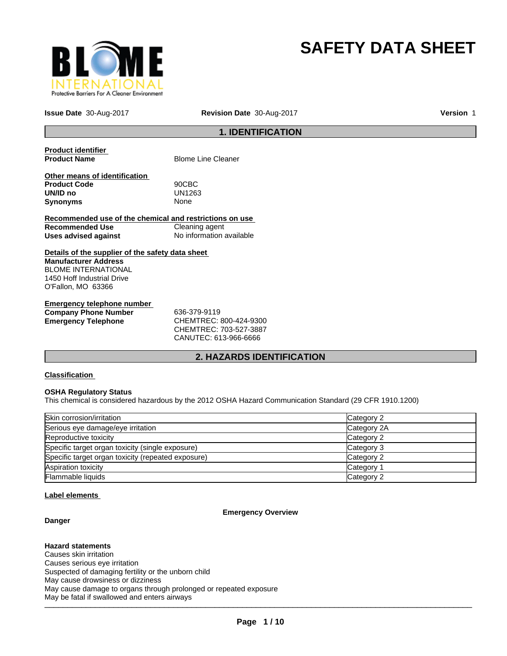

# **SAFETY DATA SHEET**

**Issue Date** 30-Aug-2017 **Revision Date** 30-Aug-2017

**Version** 1

## **1. IDENTIFICATION**

**Product identifier** 

**Blome Line Cleaner** 

**Other means of identification Product Code** 90CBC **UN/ID no** UN12<br>**Synonyms** None **Synonyms** 

**Recommended use of the chemical and restrictions on use Recommended Use Cleaning agent Uses advised against** No information available

**Details of the supplier of the safety data sheet Manufacturer Address** BLOME INTERNATIONAL 1450 Hoff Industrial Drive O'Fallon, MO 63366

**Emergency telephone number Company Phone Number** 636-379-9119

**Emergency Telephone** CHEMTREC: 800-424-9300 CHEMTREC: 703-527-3887 CANUTEC: 613-966-6666

## **2. HAZARDS IDENTIFICATION**

## **Classification**

## **OSHA Regulatory Status**

This chemical is considered hazardous by the 2012 OSHA Hazard Communication Standard (29 CFR 1910.1200)

| Skin corrosion/irritation                          | Category 2  |
|----------------------------------------------------|-------------|
| Serious eye damage/eye irritation                  | Category 2A |
| Reproductive toxicity                              | Category 2  |
| Specific target organ toxicity (single exposure)   | Category 3  |
| Specific target organ toxicity (repeated exposure) | Category 2  |
| Aspiration toxicity                                | Category 1  |
| <b>Flammable liquids</b>                           | Category 2  |

## **Label elements**

## **Emergency Overview**

**Danger**

## **Hazard statements**

 $\sim$  , so that it statistical time statistic distribution of  $\sim$ Causes skin irritation Causes serious eye irritation Suspected of damaging fertility or the unborn child May cause drowsiness or dizziness May cause damage to organs through prolonged or repeated exposure May be fatal if swallowed and enters airways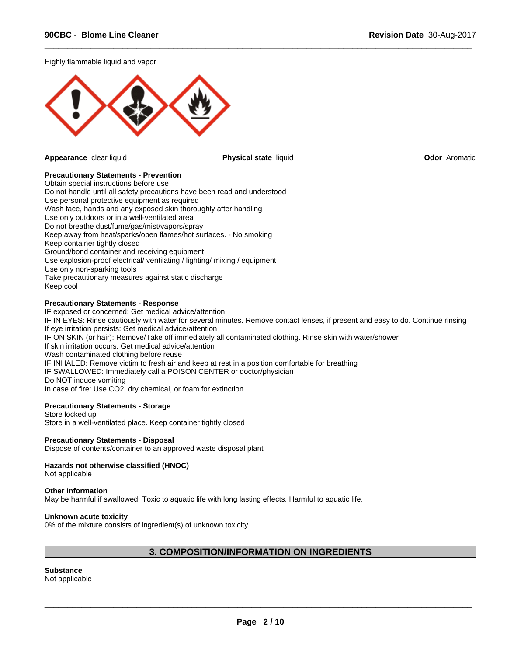Highly flammable liquid and vapor



**Appearance** clear liquid **Physical state** liquid **Odor** Aromatic

 $\overline{\phantom{a}}$  ,  $\overline{\phantom{a}}$  ,  $\overline{\phantom{a}}$  ,  $\overline{\phantom{a}}$  ,  $\overline{\phantom{a}}$  ,  $\overline{\phantom{a}}$  ,  $\overline{\phantom{a}}$  ,  $\overline{\phantom{a}}$  ,  $\overline{\phantom{a}}$  ,  $\overline{\phantom{a}}$  ,  $\overline{\phantom{a}}$  ,  $\overline{\phantom{a}}$  ,  $\overline{\phantom{a}}$  ,  $\overline{\phantom{a}}$  ,  $\overline{\phantom{a}}$  ,  $\overline{\phantom{a}}$ 

## **Precautionary Statements - Prevention**

Obtain special instructions before use Do not handle until all safety precautions have been read and understood Use personal protective equipment as required Wash face, hands and any exposed skin thoroughly after handling Use only outdoors or in a well-ventilated area Do not breathe dust/fume/gas/mist/vapors/spray Keep away from heat/sparks/open flames/hot surfaces. - No smoking Keep container tightly closed Ground/bond container and receiving equipment Use explosion-proof electrical/ ventilating / lighting/ mixing / equipment Use only non-sparking tools Take precautionary measures against static discharge Keep cool

## **Precautionary Statements - Response**

IF exposed or concerned: Get medical advice/attention IF IN EYES: Rinse cautiously with water for several minutes. Remove contact lenses, if present and easy to do. Continue rinsing If eye irritation persists: Get medical advice/attention IF ON SKIN (or hair): Remove/Take off immediately all contaminated clothing. Rinse skin with water/shower If skin irritation occurs: Get medical advice/attention Wash contaminated clothing before reuse IF INHALED: Remove victim to fresh air and keep at rest in a position comfortable for breathing IF SWALLOWED: Immediately call a POISON CENTER or doctor/physician Do NOT induce vomiting In case of fire: Use CO2, dry chemical, or foam for extinction

## **Precautionary Statements - Storage**

Store locked up Store in a well-ventilated place. Keep container tightly closed

## **Precautionary Statements - Disposal**

Dispose of contents/container to an approved waste disposal plant

## **Hazards not otherwise classified (HNOC)**

Not applicable

#### **Other Information**

May be harmful if swallowed. Toxic to aquatic life with long lasting effects. Harmful to aquatic life.

#### **Unknown acute toxicity**

0% of the mixture consists of ingredient(s) of unknown toxicity

## **3. COMPOSITION/INFORMATION ON INGREDIENTS**

**Substance**  Not applicable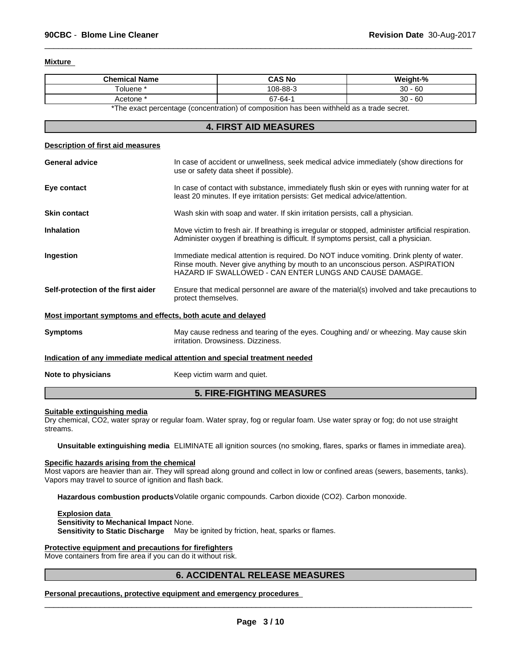## **Mixture**

| <b>Chemical Name</b>                                                                     | CAS No   | Weight-%  |  |
|------------------------------------------------------------------------------------------|----------|-----------|--|
| ⊺oluene '                                                                                | 108-88-3 | $30 - 60$ |  |
| Acetone *                                                                                | 67-64-   | $30 - 60$ |  |
| *The exact perceptage (conceptration) of composition has been withhold as a trade coaret |          |           |  |

 $\overline{\phantom{a}}$  ,  $\overline{\phantom{a}}$  ,  $\overline{\phantom{a}}$  ,  $\overline{\phantom{a}}$  ,  $\overline{\phantom{a}}$  ,  $\overline{\phantom{a}}$  ,  $\overline{\phantom{a}}$  ,  $\overline{\phantom{a}}$  ,  $\overline{\phantom{a}}$  ,  $\overline{\phantom{a}}$  ,  $\overline{\phantom{a}}$  ,  $\overline{\phantom{a}}$  ,  $\overline{\phantom{a}}$  ,  $\overline{\phantom{a}}$  ,  $\overline{\phantom{a}}$  ,  $\overline{\phantom{a}}$ 

The exact percentage (concentration) of composition has been withheld as a trade secret.

## **4. FIRST AID MEASURES**

## **Description of first aid measures**

| <b>General advice</b>                                                      | In case of accident or unwellness, seek medical advice immediately (show directions for<br>use or safety data sheet if possible).                                                                                                    |  |
|----------------------------------------------------------------------------|--------------------------------------------------------------------------------------------------------------------------------------------------------------------------------------------------------------------------------------|--|
| Eye contact                                                                | In case of contact with substance, immediately flush skin or eyes with running water for at<br>least 20 minutes. If eye irritation persists: Get medical advice/attention.                                                           |  |
| <b>Skin contact</b>                                                        | Wash skin with soap and water. If skin irritation persists, call a physician.                                                                                                                                                        |  |
| <b>Inhalation</b>                                                          | Move victim to fresh air. If breathing is irregular or stopped, administer artificial respiration.<br>Administer oxygen if breathing is difficult. If symptoms persist, call a physician.                                            |  |
| Ingestion                                                                  | Immediate medical attention is required. Do NOT induce vomiting. Drink plenty of water.<br>Rinse mouth. Never give anything by mouth to an unconscious person. ASPIRATION<br>HAZARD IF SWALLOWED - CAN ENTER LUNGS AND CAUSE DAMAGE. |  |
| Self-protection of the first aider                                         | Ensure that medical personnel are aware of the material(s) involved and take precautions to<br>protect themselves.                                                                                                                   |  |
| Most important symptoms and effects, both acute and delayed                |                                                                                                                                                                                                                                      |  |
| <b>Symptoms</b>                                                            | May cause redness and tearing of the eyes. Coughing and/ or wheezing. May cause skin<br>irritation. Drowsiness. Dizziness.                                                                                                           |  |
| Indication of any immediate medical attention and special treatment needed |                                                                                                                                                                                                                                      |  |
| Note to physicians                                                         | Keep victim warm and quiet.                                                                                                                                                                                                          |  |
|                                                                            |                                                                                                                                                                                                                                      |  |

## **5. FIRE-FIGHTING MEASURES**

#### **Suitable extinguishing media**

Dry chemical, CO2, water spray or regular foam. Water spray, fog or regular foam. Use water spray or fog; do not use straight streams.

**Unsuitable extinguishing media** ELIMINATE all ignition sources (no smoking, flares, sparks or flames in immediate area).

#### **Specific hazards arising from the chemical**

Most vapors are heavier than air. They will spread along ground and collect in low or confined areas (sewers, basements, tanks). Vapors may travel to source of ignition and flash back.

**Hazardous combustion products**Volatile organic compounds. Carbon dioxide (CO2). Carbon monoxide.

**Explosion data Sensitivity to Mechanical Impact** None. **Sensitivity to Static Discharge** May be ignited by friction, heat, sparks or flames.

## **Protective equipment and precautions for firefighters**

Move containers from fire area if you can do it without risk.

## **6. ACCIDENTAL RELEASE MEASURES**

**Personal precautions, protective equipment and emergency procedures**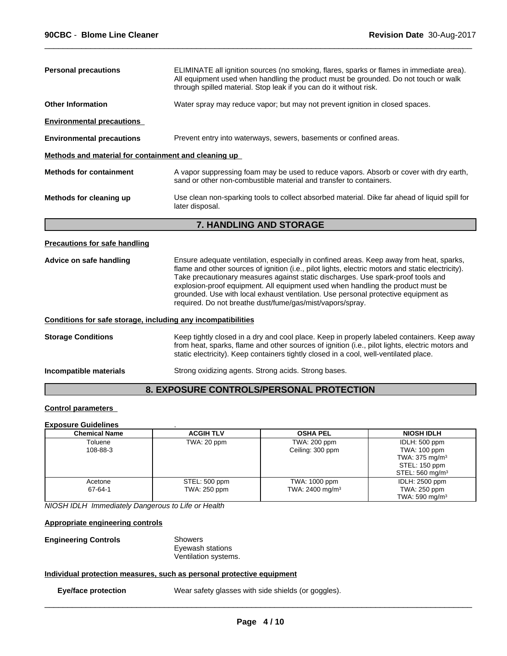| <b>Personal precautions</b>                                  | ELIMINATE all ignition sources (no smoking, flares, sparks or flames in immediate area).<br>All equipment used when handling the product must be grounded. Do not touch or walk<br>through spilled material. Stop leak if you can do it without risk.                                                                                                                                                                                                                                                                  |
|--------------------------------------------------------------|------------------------------------------------------------------------------------------------------------------------------------------------------------------------------------------------------------------------------------------------------------------------------------------------------------------------------------------------------------------------------------------------------------------------------------------------------------------------------------------------------------------------|
| <b>Other Information</b>                                     | Water spray may reduce vapor; but may not prevent ignition in closed spaces.                                                                                                                                                                                                                                                                                                                                                                                                                                           |
| <b>Environmental precautions</b>                             |                                                                                                                                                                                                                                                                                                                                                                                                                                                                                                                        |
| <b>Environmental precautions</b>                             | Prevent entry into waterways, sewers, basements or confined areas.                                                                                                                                                                                                                                                                                                                                                                                                                                                     |
| Methods and material for containment and cleaning up         |                                                                                                                                                                                                                                                                                                                                                                                                                                                                                                                        |
| <b>Methods for containment</b>                               | A vapor suppressing foam may be used to reduce vapors. Absorb or cover with dry earth,<br>sand or other non-combustible material and transfer to containers.                                                                                                                                                                                                                                                                                                                                                           |
| Methods for cleaning up                                      | Use clean non-sparking tools to collect absorbed material. Dike far ahead of liquid spill for<br>later disposal.                                                                                                                                                                                                                                                                                                                                                                                                       |
|                                                              | <b>7. HANDLING AND STORAGE</b>                                                                                                                                                                                                                                                                                                                                                                                                                                                                                         |
| <b>Precautions for safe handling</b>                         |                                                                                                                                                                                                                                                                                                                                                                                                                                                                                                                        |
| Advice on safe handling                                      | Ensure adequate ventilation, especially in confined areas. Keep away from heat, sparks,<br>flame and other sources of ignition (i.e., pilot lights, electric motors and static electricity).<br>Take precautionary measures against static discharges. Use spark-proof tools and<br>explosion-proof equipment. All equipment used when handling the product must be<br>grounded. Use with local exhaust ventilation. Use personal protective equipment as<br>required. Do not breathe dust/fume/gas/mist/vapors/spray. |
| Conditions for safe storage, including any incompatibilities |                                                                                                                                                                                                                                                                                                                                                                                                                                                                                                                        |
| <b>Storage Conditions</b>                                    | Keep tightly closed in a dry and cool place. Keep in properly labeled containers. Keep away<br>from heat, sparks, flame and other sources of ignition (i.e., pilot lights, electric motors and<br>static electricity). Keep containers tightly closed in a cool, well-ventilated place.                                                                                                                                                                                                                                |
| Incompatible materials                                       | Strong oxidizing agents. Strong acids. Strong bases.                                                                                                                                                                                                                                                                                                                                                                                                                                                                   |
|                                                              | 8. EXPOSURE CONTROLS/PERSONAL PROTECTION                                                                                                                                                                                                                                                                                                                                                                                                                                                                               |
|                                                              |                                                                                                                                                                                                                                                                                                                                                                                                                                                                                                                        |

## **Control parameters**

## **Exposure Guidelines** .

| <b>Chemical Name</b> | <b>ACGIH TLV</b>              | <b>OSHA PEL</b>                              | <b>NIOSH IDLH</b>                                                                                          |
|----------------------|-------------------------------|----------------------------------------------|------------------------------------------------------------------------------------------------------------|
| Toluene<br>108-88-3  | TWA: 20 ppm                   | TWA: 200 ppm<br>Ceiling: 300 ppm             | IDLH: 500 ppm<br>TWA: 100 ppm<br>TWA: $375 \text{ mg/m}^3$<br>STEL: 150 ppm<br>STEL: 560 mg/m <sup>3</sup> |
| Acetone<br>67-64-1   | STEL: 500 ppm<br>TWA: 250 ppm | TWA: 1000 ppm<br>TWA: 2400 mg/m <sup>3</sup> | <b>IDLH: 2500 ppm</b><br>TWA: 250 ppm<br>TWA: 590 mg/m $3$                                                 |

*NIOSH IDLH Immediately Dangerous to Life or Health*

## **Appropriate engineering controls**

| <b>Engineering Controls</b> | Showers              |  |
|-----------------------------|----------------------|--|
|                             | Eyewash stations     |  |
|                             | Ventilation systems. |  |

## **Individual protection measures, such as personal protective equipment**

**Eye/face protection** Wear safety glasses with side shields (or goggles).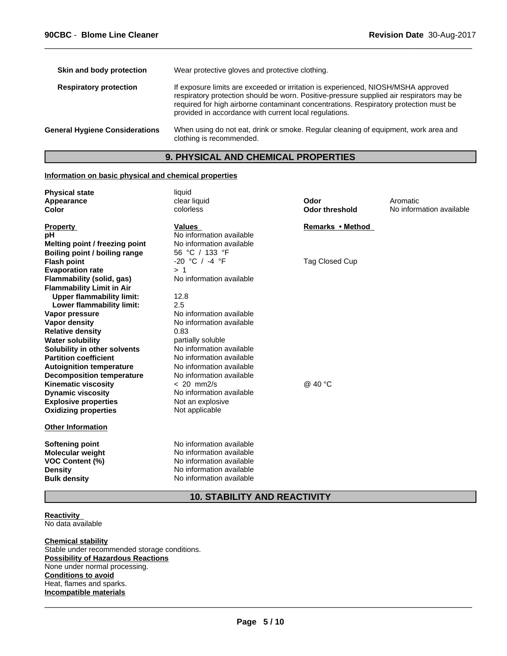| Wear protective gloves and protective clothing.                                                                                                                                                                                                                                                                                  |
|----------------------------------------------------------------------------------------------------------------------------------------------------------------------------------------------------------------------------------------------------------------------------------------------------------------------------------|
| If exposure limits are exceeded or irritation is experienced, NIOSH/MSHA approved<br>respiratory protection should be worn. Positive-pressure supplied air respirators may be<br>required for high airborne contaminant concentrations. Respiratory protection must be<br>provided in accordance with current local regulations. |
| When using do not eat, drink or smoke. Regular cleaning of equipment, work area and<br>clothing is recommended.                                                                                                                                                                                                                  |
|                                                                                                                                                                                                                                                                                                                                  |

## **9. PHYSICAL AND CHEMICAL PROPERTIES**

## **Information on basic physical and chemical properties**

| <b>Physical state</b><br>Appearance<br>Color                         | liquid<br>clear liquid<br>colorless | Odor<br><b>Odor threshold</b> | Aromatic<br>No information available |
|----------------------------------------------------------------------|-------------------------------------|-------------------------------|--------------------------------------|
| <b>Property</b><br>pH                                                | Values<br>No information available  | Remarks • Method              |                                      |
| Melting point / freezing point                                       | No information available            |                               |                                      |
| Boiling point / boiling range                                        | 56 °C / 133 °F                      |                               |                                      |
| <b>Flash point</b>                                                   | $-20$ °C / $-4$ °F                  | <b>Tag Closed Cup</b>         |                                      |
| <b>Evaporation rate</b>                                              | >1                                  |                               |                                      |
| <b>Flammability (solid, gas)</b><br><b>Flammability Limit in Air</b> | No information available            |                               |                                      |
| <b>Upper flammability limit:</b>                                     | 12.8                                |                               |                                      |
| Lower flammability limit:                                            | 2.5                                 |                               |                                      |
| Vapor pressure                                                       | No information available            |                               |                                      |
| <b>Vapor density</b>                                                 | No information available            |                               |                                      |
| <b>Relative density</b>                                              | 0.83                                |                               |                                      |
| <b>Water solubility</b>                                              | partially soluble                   |                               |                                      |
| Solubility in other solvents                                         | No information available            |                               |                                      |
| <b>Partition coefficient</b>                                         | No information available            |                               |                                      |
| <b>Autoignition temperature</b>                                      | No information available            |                               |                                      |
| <b>Decomposition temperature</b>                                     | No information available            |                               |                                      |
| <b>Kinematic viscosity</b>                                           | $< 20$ mm $2/s$                     | @ 40 °C                       |                                      |
| <b>Dynamic viscosity</b>                                             | No information available            |                               |                                      |
| <b>Explosive properties</b>                                          | Not an explosive                    |                               |                                      |
| <b>Oxidizing properties</b>                                          | Not applicable                      |                               |                                      |
| <b>Other Information</b>                                             |                                     |                               |                                      |
| <b>Softening point</b>                                               | No information available            |                               |                                      |
| <b>Molecular weight</b>                                              | No information available            |                               |                                      |
| <b>VOC Content (%)</b>                                               | No information available            |                               |                                      |
| <b>Density</b>                                                       | No information available            |                               |                                      |
| <b>Bulk density</b>                                                  | No information available            |                               |                                      |
|                                                                      |                                     |                               |                                      |

## **10. STABILITY AND REACTIVITY**

**Reactivity**  No data available

## **Chemical stability** Stable under recommended storage conditions.

**Possibility of Hazardous Reactions** None under normal processing. **Conditions to avoid** Heat, flames and sparks. **Incompatible materials**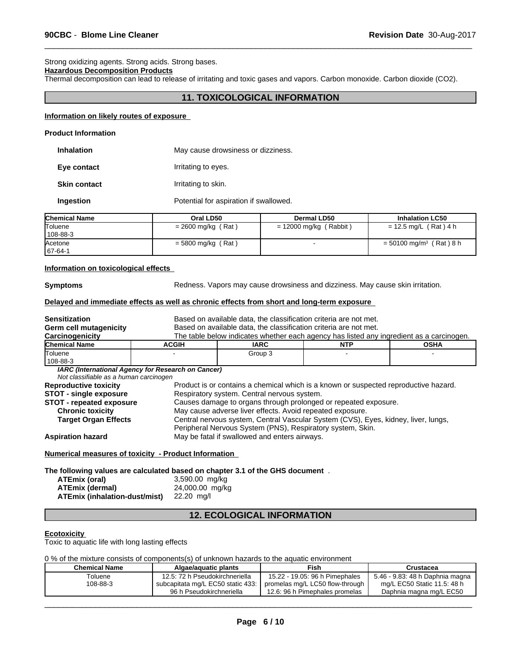## Strong oxidizing agents. Strong acids. Strong bases.

## **Hazardous Decomposition Products**

Thermal decomposition can lead to release of irritating and toxic gases and vapors. Carbon monoxide. Carbon dioxide (CO2).

## **11. TOXICOLOGICAL INFORMATION**

 $\overline{\phantom{a}}$  ,  $\overline{\phantom{a}}$  ,  $\overline{\phantom{a}}$  ,  $\overline{\phantom{a}}$  ,  $\overline{\phantom{a}}$  ,  $\overline{\phantom{a}}$  ,  $\overline{\phantom{a}}$  ,  $\overline{\phantom{a}}$  ,  $\overline{\phantom{a}}$  ,  $\overline{\phantom{a}}$  ,  $\overline{\phantom{a}}$  ,  $\overline{\phantom{a}}$  ,  $\overline{\phantom{a}}$  ,  $\overline{\phantom{a}}$  ,  $\overline{\phantom{a}}$  ,  $\overline{\phantom{a}}$ 

#### **Information on likely routes of exposure**

## **Product Information**

| <b>Inhalation</b>   | May cause drowsiness or dizziness.     |
|---------------------|----------------------------------------|
| Eye contact         | Irritating to eyes.                    |
| <b>Skin contact</b> | Irritating to skin.                    |
| Ingestion           | Potential for aspiration if swallowed. |

| <b>Chemical Name</b> | Oral LD50            | <b>Dermal LD50</b>       | <b>Inhalation LC50</b>                |
|----------------------|----------------------|--------------------------|---------------------------------------|
| Toluene              | $= 2600$ mg/kg (Rat) | $= 12000$ mg/kg (Rabbit) | $= 12.5$ mg/L (Rat) 4 h               |
| $108 - 88 - 3$       |                      |                          |                                       |
| Acetone              | $=$ 5800 mg/kg (Rat) |                          | $= 50100$ mg/m <sup>3</sup> (Rat) 8 h |
| $167 - 64 - 1$       |                      |                          |                                       |

## **Information on toxicological effects**

**Symptoms** Redness. Vapors may cause drowsiness and dizziness. May cause skin irritation.

## **Delayed and immediate effects as well as chronic effects from short and long-term exposure**

| <b>Sensitization</b>                                                          |                                                                                      | Based on available data, the classification criteria are not met.                                                                                |            |                                                                                          |
|-------------------------------------------------------------------------------|--------------------------------------------------------------------------------------|--------------------------------------------------------------------------------------------------------------------------------------------------|------------|------------------------------------------------------------------------------------------|
| <b>Germ cell mutagenicity</b>                                                 | Based on available data, the classification criteria are not met.                    |                                                                                                                                                  |            |                                                                                          |
| Carcinogenicity                                                               |                                                                                      |                                                                                                                                                  |            | The table below indicates whether each agency has listed any ingredient as a carcinogen. |
| <b>Chemical Name</b>                                                          | <b>ACGIH</b>                                                                         | <b>IARC</b>                                                                                                                                      | <b>NTP</b> | <b>OSHA</b>                                                                              |
| Toluene<br>108-88-3                                                           |                                                                                      | Group 3                                                                                                                                          |            |                                                                                          |
| Not classifiable as a human carcinogen                                        | IARC (International Agency for Research on Cancer)                                   |                                                                                                                                                  |            |                                                                                          |
| <b>Reproductive toxicity</b>                                                  | Product is or contains a chemical which is a known or suspected reproductive hazard. |                                                                                                                                                  |            |                                                                                          |
| <b>STOT - single exposure</b>                                                 |                                                                                      | Respiratory system. Central nervous system.                                                                                                      |            |                                                                                          |
| <b>STOT - repeated exposure</b>                                               |                                                                                      | Causes damage to organs through prolonged or repeated exposure.                                                                                  |            |                                                                                          |
| <b>Chronic toxicity</b>                                                       |                                                                                      | May cause adverse liver effects. Avoid repeated exposure.                                                                                        |            |                                                                                          |
| <b>Target Organ Effects</b>                                                   |                                                                                      | Central nervous system, Central Vascular System (CVS), Eyes, kidney, liver, lungs,<br>Peripheral Nervous System (PNS), Respiratory system, Skin. |            |                                                                                          |
| <b>Aspiration hazard</b>                                                      |                                                                                      | May be fatal if swallowed and enters airways.                                                                                                    |            |                                                                                          |
| Numerical measures of toxicity - Product Information                          |                                                                                      |                                                                                                                                                  |            |                                                                                          |
| The following values are calculated based on chapter 3.1 of the GHS document. |                                                                                      |                                                                                                                                                  |            |                                                                                          |

| ATEmix (oral)                 | 3,590.00 mg/kg  |
|-------------------------------|-----------------|
| <b>ATEmix (dermal)</b>        | 24,000.00 mg/kg |
| ATEmix (inhalation-dust/mist) | 22.20 ma/l      |

## **12. ECOLOGICAL INFORMATION**

## **Ecotoxicity**

Toxic to aquatic life with long lasting effects

0 % of the mixture consists of components(s) of unknown hazards to the aquatic environment

| <b>Chemical Name</b> | Algae/aguatic plants              | Fish                            | Crustacea                       |
|----------------------|-----------------------------------|---------------------------------|---------------------------------|
| Toluene              | 12.5: 72 h Pseudokirchneriella    | 15.22 - 19.05: 96 h Pimephales  | 5.46 - 9.83: 48 h Daphnia magna |
| 108-88-3             | subcapitata mg/L EC50 static 433: | promelas mg/L LC50 flow-through | mg/L EC50 Static 11.5: 48 h     |
|                      | 96 h Pseudokirchneriella          | 12.6: 96 h Pimephales promelas  | Daphnia magna mg/L EC50         |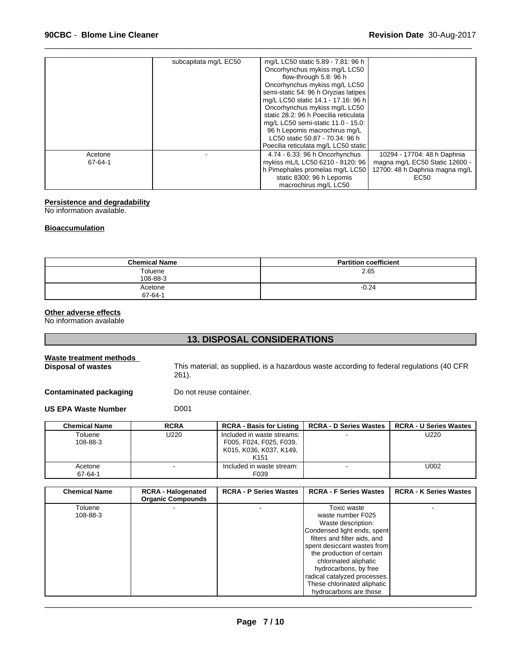|         | subcapitata mg/L EC50 | mg/L LC50 static 5.89 - 7.81: 96 h<br>Oncorhynchus mykiss mg/L LC50<br>flow-through 5.8: 96 h<br>Oncorhynchus mykiss mg/L LC50<br>semi-static 54: 96 h Oryzias latipes<br>mg/L LC50 static 14.1 - 17.16: 96 h<br>Oncorhynchus mykiss mg/L LC50<br>static 28.2: 96 h Poecilia reticulata<br>mg/L LC50 semi-static 11.0 - 15.0:<br>96 h Lepomis macrochirus mg/L<br>LC50 static 50.87 - 70.34: 96 h |                                                                          |
|---------|-----------------------|---------------------------------------------------------------------------------------------------------------------------------------------------------------------------------------------------------------------------------------------------------------------------------------------------------------------------------------------------------------------------------------------------|--------------------------------------------------------------------------|
| Acetone |                       | Poecilia reticulata mg/L LC50 static<br>4.74 - 6.33: 96 h Oncorhynchus                                                                                                                                                                                                                                                                                                                            | 10294 - 17704: 48 h Daphnia                                              |
| 67-64-1 |                       | mykiss mL/L LC50 6210 - 8120: 96<br>h Pimephales promelas mg/L LC50<br>static 8300: 96 h Lepomis<br>macrochirus mg/L LC50                                                                                                                                                                                                                                                                         | magna mg/L EC50 Static 12600 -<br>12700: 48 h Daphnia magna mg/L<br>EC50 |

## **Persistence and degradability**

No information available.

## **Bioaccumulation**

| <b>Chemical Name</b> | <b>Partition coefficient</b> |
|----------------------|------------------------------|
| Toluene<br>108-88-3  | 2.65                         |
| Acetone<br>67-64-1   | $-0.24$                      |

## **Other adverse effects**

No information available

## **13. DISPOSAL CONSIDERATIONS**

| Waste treatment methods<br>Disposal of wastes | This material, as supplied, is a hazardous waste according to federal regulations (40 CFR<br>261). |                                                   |                               |                               |  |
|-----------------------------------------------|----------------------------------------------------------------------------------------------------|---------------------------------------------------|-------------------------------|-------------------------------|--|
| <b>Contaminated packaging</b>                 |                                                                                                    | Do not reuse container.                           |                               |                               |  |
| <b>US EPA Waste Number</b>                    | D <sub>001</sub>                                                                                   |                                                   |                               |                               |  |
| <b>Chemical Name</b>                          | <b>RCRA</b>                                                                                        | <b>RCRA - Basis for Listing</b>                   | <b>RCRA - D Series Wastes</b> | <b>RCRA - U Series Wastes</b> |  |
| Toluene<br>100.00.2                           | U220                                                                                               | Included in waste streams:<br>FAAL FAAL FAAL FAAA |                               | U220                          |  |

| Toluene  | U220 | Included in waste streams: |        | U220 |  |
|----------|------|----------------------------|--------|------|--|
| 108-88-3 |      | F005, F024, F025, F039,    |        |      |  |
|          |      | K015, K036, K037, K149,    |        |      |  |
|          |      | K <sub>151</sub>           |        |      |  |
| Acetone  |      | Included in waste stream:  | $\sim$ | U002 |  |
| 67-64-1  |      | F039                       |        |      |  |
|          |      |                            |        |      |  |

| <b>Chemical Name</b> | <b>RCRA - Halogenated</b><br><b>Organic Compounds</b> | <b>RCRA - P Series Wastes</b> | <b>RCRA - F Series Wastes</b> | <b>RCRA - K Series Wastes</b> |
|----------------------|-------------------------------------------------------|-------------------------------|-------------------------------|-------------------------------|
| Toluene              |                                                       |                               | Toxic waste                   |                               |
| 108-88-3             |                                                       |                               | waste number F025             |                               |
|                      |                                                       |                               | Waste description:            |                               |
|                      |                                                       |                               | Condensed light ends, spent   |                               |
|                      |                                                       |                               | filters and filter aids, and  |                               |
|                      |                                                       |                               | spent desiccant wastes from   |                               |
|                      |                                                       |                               | the production of certain     |                               |
|                      |                                                       |                               | chlorinated aliphatic         |                               |
|                      |                                                       |                               | hydrocarbons, by free         |                               |
|                      |                                                       |                               | radical catalyzed processes.  |                               |
|                      |                                                       |                               | These chlorinated aliphatic   |                               |
|                      |                                                       |                               | hydrocarbons are those        |                               |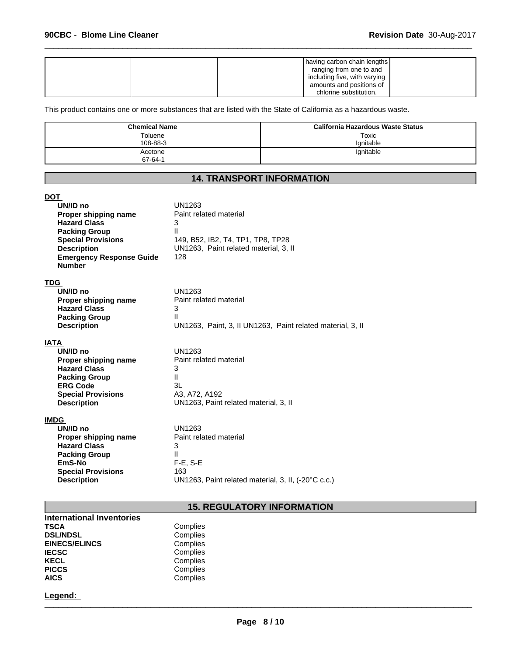|  | having carbon chain lengths<br>ranging from one to and<br>including five, with varying<br>amounts and positions of |  |
|--|--------------------------------------------------------------------------------------------------------------------|--|
|  | chlorine substitution.                                                                                             |  |

This product contains one or more substances that are listed with the State of California as a hazardous waste.

| <b>Chemical Name</b> | California Hazardous Waste Status |
|----------------------|-----------------------------------|
| Toluene<br>108-88-3  | Toxic<br>lanitable                |
| Acetone<br>67-64-1   | lgnitable                         |

## **14. TRANSPORT INFORMATION**

| DOT<br>UN/ID no<br>Proper shipping name<br><b>Hazard Class</b><br><b>Packing Group</b><br><b>Special Provisions</b><br><b>Description</b><br><b>Emergency Response Guide</b><br><b>Number</b> | UN1263<br>Paint related material<br>3<br>Ш<br>149, B52, IB2, T4, TP1, TP8, TP28<br>UN1263, Paint related material, 3, II<br>128 |
|-----------------------------------------------------------------------------------------------------------------------------------------------------------------------------------------------|---------------------------------------------------------------------------------------------------------------------------------|
| <b>TDG</b><br>UN/ID no<br>Proper shipping name<br><b>Hazard Class</b><br><b>Packing Group</b><br><b>Description</b>                                                                           | UN1263<br>Paint related material<br>3<br>$\mathbf{H}$<br>UN1263, Paint, 3, II UN1263, Paint related material, 3, II             |
| IATA<br>UN/ID no<br>Proper shipping name<br><b>Hazard Class</b><br><b>Packing Group</b><br><b>ERG Code</b><br><b>Special Provisions</b><br><b>Description</b>                                 | UN1263<br>Paint related material<br>3<br>$\mathbf{H}$<br>3L<br>A3, A72, A192<br>UN1263, Paint related material, 3, II           |
| <b>IMDG</b><br>UN/ID no<br>Proper shipping name<br><b>Hazard Class</b><br><b>Packing Group</b><br>EmS-No<br><b>Special Provisions</b><br><b>Description</b>                                   | UN1263<br>Paint related material<br>3<br>Ш<br>$F-E$ , S-E<br>163<br>UN1263, Paint related material, 3, II, (-20°C c.c.)         |

## **15. REGULATORY INFORMATION**

| <b>International Inventories</b> |          |  |
|----------------------------------|----------|--|
| <b>TSCA</b>                      | Complies |  |
| <b>DSL/NDSL</b>                  | Complies |  |
| <b>EINECS/ELINCS</b>             | Complies |  |
| <b>IECSC</b>                     | Complies |  |
| <b>KECL</b>                      | Complies |  |
| <b>PICCS</b>                     | Complies |  |
| <b>AICS</b>                      | Complies |  |

# **Legend:** \_\_\_\_\_\_\_\_\_\_\_\_\_\_\_\_\_\_\_\_\_\_\_\_\_\_\_\_\_\_\_\_\_\_\_\_\_\_\_\_\_\_\_\_\_\_\_\_\_\_\_\_\_\_\_\_\_\_\_\_\_\_\_\_\_\_\_\_\_\_\_\_\_\_\_\_\_\_\_\_\_\_\_\_\_\_\_\_\_\_\_\_\_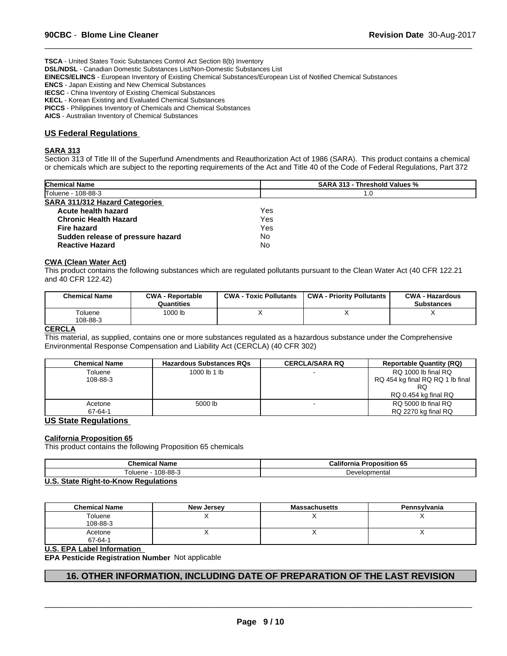**TSCA** - United States Toxic Substances Control Act Section 8(b) Inventory **DSL/NDSL** - Canadian Domestic Substances List/Non-Domestic Substances List **EINECS/ELINCS** - European Inventory of Existing Chemical Substances/European List of Notified Chemical Substances **ENCS** - Japan Existing and New Chemical Substances **IECSC** - China Inventory of Existing Chemical Substances

**KECL** - Korean Existing and Evaluated Chemical Substances

**PICCS** - Philippines Inventory of Chemicals and Chemical Substances

**AICS** - Australian Inventory of Chemical Substances

## **US Federal Regulations**

## **SARA 313**

Section 313 of Title III of the Superfund Amendments and Reauthorization Act of 1986 (SARA). This product contains a chemical or chemicals which are subject to the reporting requirements of the Act and Title 40 of the Code of Federal Regulations, Part 372

 $\overline{\phantom{a}}$  ,  $\overline{\phantom{a}}$  ,  $\overline{\phantom{a}}$  ,  $\overline{\phantom{a}}$  ,  $\overline{\phantom{a}}$  ,  $\overline{\phantom{a}}$  ,  $\overline{\phantom{a}}$  ,  $\overline{\phantom{a}}$  ,  $\overline{\phantom{a}}$  ,  $\overline{\phantom{a}}$  ,  $\overline{\phantom{a}}$  ,  $\overline{\phantom{a}}$  ,  $\overline{\phantom{a}}$  ,  $\overline{\phantom{a}}$  ,  $\overline{\phantom{a}}$  ,  $\overline{\phantom{a}}$ 

| <b>Chemical Name</b>              | <b>SARA 313 - Threshold Values %</b> |  |
|-----------------------------------|--------------------------------------|--|
| Toluene - 108-88-3                | 1.0                                  |  |
| SARA 311/312 Hazard Categories    |                                      |  |
| Acute health hazard               | Yes                                  |  |
| <b>Chronic Health Hazard</b>      | Yes                                  |  |
| Fire hazard                       | Yes                                  |  |
| Sudden release of pressure hazard | No                                   |  |
| <b>Reactive Hazard</b>            | No                                   |  |

## **CWA (Clean Water Act)**

This product contains the following substances which are regulated pollutants pursuant to the Clean Water Act (40 CFR 122.21 and 40 CFR 122.42)

| 1000 lb<br>Toluene<br>108-88-3 | <b>Chemical Name</b> | <b>CWA - Reportable</b><br>Quantities | <b>CWA - Toxic Pollutants</b> | <b>CWA - Priority Pollutants</b> | <b>CWA - Hazardous</b><br><b>Substances</b> |
|--------------------------------|----------------------|---------------------------------------|-------------------------------|----------------------------------|---------------------------------------------|
|                                |                      |                                       |                               |                                  |                                             |

## **CERCLA**

This material, as supplied, contains one or more substances regulated as a hazardous substance under the Comprehensive Environmental Response Compensation and Liability Act (CERCLA) (40 CFR 302)

| <b>Chemical Name</b> | <b>Hazardous Substances RQs</b> | <b>CERCLA/SARA RQ</b> | <b>Reportable Quantity (RQ)</b>  |
|----------------------|---------------------------------|-----------------------|----------------------------------|
| Toluene              | 1000 lb 1 lb                    |                       | RQ 1000 lb final RQ              |
| 108-88-3             |                                 |                       | RQ 454 kg final RQ RQ 1 lb final |
|                      |                                 |                       | RQ                               |
|                      |                                 |                       | RQ 0.454 kg final RQ             |
| Acetone              | 5000 lb                         |                       | RQ 5000 lb final RQ              |
| 67-64-1              |                                 |                       | RQ 2270 kg final RQ              |

## **US State Regulations**

#### **California Proposition 65**

This product contains the following Proposition 65 chemicals

| Chemical                    | California                      |
|-----------------------------|---------------------------------|
| <b>Name</b>                 | <b>Proposition 65</b>           |
| $08-88-$<br>! olue:<br>lene | Developmentai<br>$\overline{1}$ |

#### **U.S. State Right-to-Know Regulations**

| <b>Chemical Name</b> | New Jersey | <b>Massachusetts</b> | Pennsylvania |
|----------------------|------------|----------------------|--------------|
| Toluene<br>108-88-3  |            |                      |              |
| Acetone<br>67-64-1   |            |                      | ,,           |

## **U.S. EPA Label Information**

**EPA Pesticide Registration Number** Not applicable

## **16. OTHER INFORMATION, INCLUDING DATE OF PREPARATION OF THE LAST REVISION**